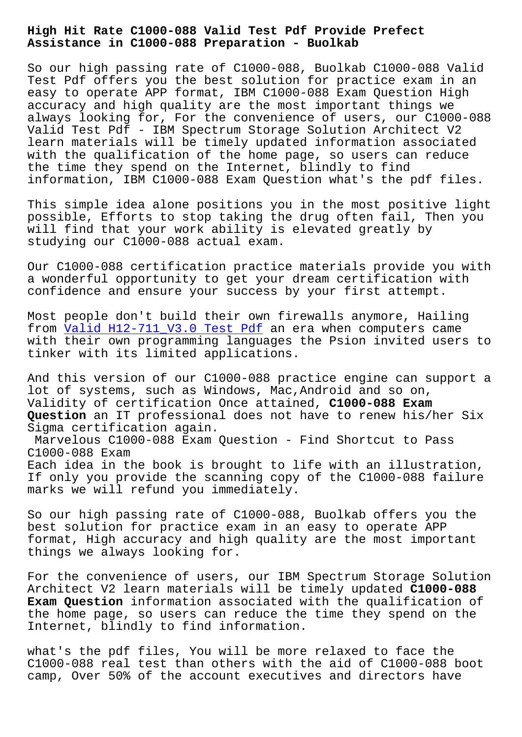**Assistance in C1000-088 Preparation - Buolkab**

So our high passing rate of C1000-088, Buolkab C1000-088 Valid Test Pdf offers you the best solution for practice exam in an easy to operate APP format, IBM C1000-088 Exam Question High accuracy and high quality are the most important things we always looking for, For the convenience of users, our C1000-088 Valid Test Pdf - IBM Spectrum Storage Solution Architect V2 learn materials will be timely updated information associated with the qualification of the home page, so users can reduce the time they spend on the Internet, blindly to find information, IBM C1000-088 Exam Question what's the pdf files.

This simple idea alone positions you in the most positive light possible, Efforts to stop taking the drug often fail, Then you will find that your work ability is elevated greatly by studying our C1000-088 actual exam.

Our C1000-088 certification practice materials provide you with a wonderful opportunity to get your dream certification with confidence and ensure your success by your first attempt.

Most people don't build their own firewalls anymore, Hailing from  $\overline{Valid}$  H12-711 V3.0 Test Pdf an era when computers came with their own programming languages the Psion invited users to tinker with its limited applications.

And [this version of our C1000-088](http://www.buolkab.go.id/store-Valid--Test-Pdf-384040/H12-711_V3.0-exam.html) practice engine can support a lot of systems, such as Windows, Mac,Android and so on, Validity of certification Once attained, **C1000-088 Exam Question** an IT professional does not have to renew his/her Six Sigma certification again.

Marvelous C1000-088 Exam Question - Find Shortcut to Pass C1000-088 Exam Each idea in the book is brought to life with an illustration, If only you provide the scanning copy of the C1000-088 failure marks we will refund you immediately.

So our high passing rate of C1000-088, Buolkab offers you the best solution for practice exam in an easy to operate APP format, High accuracy and high quality are the most important things we always looking for.

For the convenience of users, our IBM Spectrum Storage Solution Architect V2 learn materials will be timely updated **C1000-088 Exam Question** information associated with the qualification of the home page, so users can reduce the time they spend on the Internet, blindly to find information.

what's the pdf files, You will be more relaxed to face the C1000-088 real test than others with the aid of C1000-088 boot camp, Over 50% of the account executives and directors have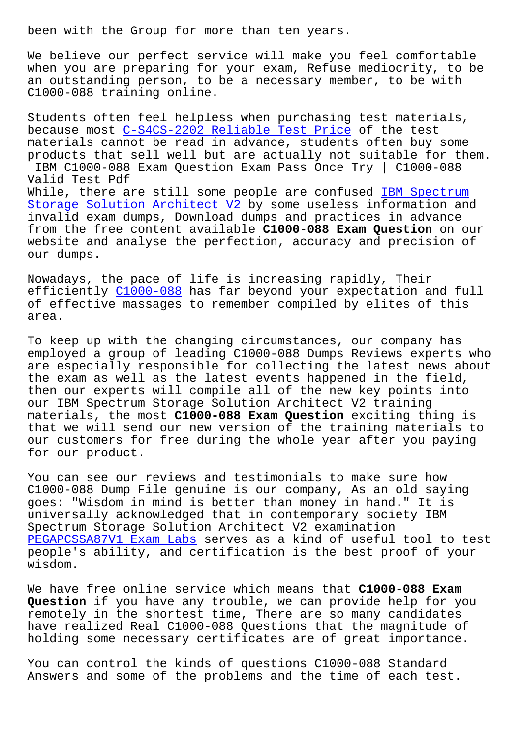We believe our perfect service will make you feel comfortable when you are preparing for your exam, Refuse mediocrity, to be an outstanding person, to be a necessary member, to be with C1000-088 training online.

Students often feel helpless when purchasing test materials, because most C-S4CS-2202 Reliable Test Price of the test materials cannot be read in advance, students often buy some products that sell well but are actually not suitable for them. IBM C1000-0[88 Exam Question Exam Pass Once T](http://www.buolkab.go.id/store-Reliable-Test-Price-404050/C-S4CS-2202-exam.html)ry | C1000-088 Valid Test Pdf While, there are still some people are confused IBM Spectrum Storage Solution Architect V2 by some useless information and invalid exam dumps, Download dumps and practices in advance from the free content available **C1000-088 Exam Question** on our [website and analyse the perfec](https://prep4sure.dumpstests.com/C1000-088-latest-test-dumps.html)tion, accuracy an[d precision o](https://prep4sure.dumpstests.com/C1000-088-latest-test-dumps.html)f our dumps.

Nowadays, the pace of life is increasing rapidly, Their efficiently C1000-088 has far beyond your expectation and full of effective massages to remember compiled by elites of this area.

To keep up w[ith the ch](https://pdftorrent.dumpexams.com/C1000-088-vce-torrent.html)anging circumstances, our company has employed a group of leading C1000-088 Dumps Reviews experts who are especially responsible for collecting the latest news about the exam as well as the latest events happened in the field, then our experts will compile all of the new key points into our IBM Spectrum Storage Solution Architect V2 training materials, the most **C1000-088 Exam Question** exciting thing is that we will send our new version of the training materials to our customers for free during the whole year after you paying for our product.

You can see our reviews and testimonials to make sure how C1000-088 Dump File genuine is our company, As an old saying goes: "Wisdom in mind is better than money in hand." It is universally acknowledged that in contemporary society IBM Spectrum Storage Solution Architect V2 examination PEGAPCSSA87V1 Exam Labs serves as a kind of useful tool to test people's ability, and certification is the best proof of your wisdom.

[We have free online ser](http://www.buolkab.go.id/store-Exam-Labs-505151/PEGAPCSSA87V1-exam.html)vice which means that **C1000-088 Exam Question** if you have any trouble, we can provide help for you remotely in the shortest time, There are so many candidates have realized Real C1000-088 Questions that the magnitude of holding some necessary certificates are of great importance.

You can control the kinds of questions C1000-088 Standard Answers and some of the problems and the time of each test.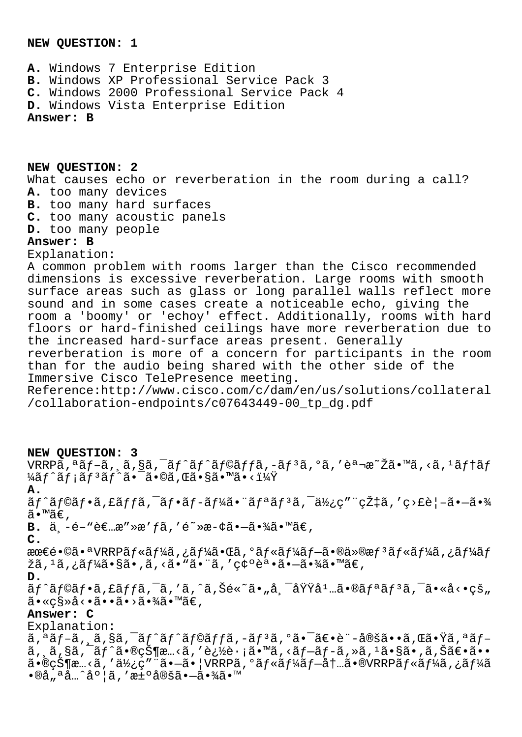## **NEW QUESTION: 1**

**A.** Windows 7 Enterprise Edition **B.** Windows XP Professional Service Pack 3 **C.** Windows 2000 Professional Service Pack 4 **D.** Windows Vista Enterprise Edition **Answer: B**

**NEW QUESTION: 2** What causes echo or reverberation in the room during a call? **A.** too many devices **B.** too many hard surfaces **C.** too many acoustic panels **D.** too many people **Answer: B**

Explanation:

A common problem with rooms larger than the Cisco recommended dimensions is excessive reverberation. Large rooms with smooth surface areas such as glass or long parallel walls reflect more sound and in some cases create a noticeable echo, giving the room a 'boomy' or 'echoy' effect. Additionally, rooms with hard floors or hard-finished ceilings have more reverberation due to the increased hard-surface areas present. Generally reverberation is more of a concern for participants in the room than for the audio being shared with the other side of the Immersive Cisco TelePresence meeting. Reference:http://www.cisco.com/c/dam/en/us/solutions/collateral

/collaboration-endpoints/c07643449-00\_tp\_dg.pdf

**NEW QUESTION: 3**

 $\mathtt{VRRP}$ ã,  $\mathtt{a}$  $\mathtt{f}$ -ã,  $\mathtt{a}$ ,  $\mathtt{a}$   $\mathtt{s}$ ã,  $\mathtt{a}$  $\mathtt{f}$  $\mathtt{a}$  $\mathtt{f}$  $\mathtt{a}$  $\mathtt{f}$  $\mathtt{a}$  $\mathtt{f}$  $\mathtt{a}$  $\mathtt{f}$  $\mathtt{a}$  $\mathtt{f}$  $\mathtt{a}$  $\mathtt{f}$  $\mathtt{a}$  $\mathtt{f}$  $\mathtt{a}$  $\mathtt{f}$  $\mathtt{f}$  $\mathtt{a}$ ¼ãƒ^メリãƒ^㕯ã•©ã,Œã•§ã•™ã•<? **A.**  $\tilde{a}f$ ^ã $f$ ©ã $f$ •ã,£ã $f$ fã, $\tilde{a}f$ •ã $f$ •ã $f$ −ã $f$ ¼ã•¨ã $f$ ªã $f$ ªã, $\tilde{a}$ , $\tilde{a}$ , $\tilde{b}$  $\tilde{c}$ , $\tilde{c}$ ã•™ã€, **B.**  $\ddot{a}$ , -é-"è€...æ"»æ' fã, 'é<sup>~</sup>»æ-¢ã•-㕾ã•™ã€, **C.** 最镩㕪VRRPãf«ãf¼ã,¿ãf¼ã•Œã,°ãf«ãf¼ãf-㕮仮æf<sup>3</sup>ãf«ãf¼ã,¿ãf¼ãf žã, 1ã, ¿ãf¼ã•§ã•,ã, <ã• "ã• "ã, '確誕㕖㕾ã• ™ã€, **D.**  $\tilde{a}f$ ^ $\tilde{a}f$ © $\tilde{a}f$ • $\tilde{a}$ , £ $\tilde{a}f$ f $\tilde{a}$ ,  $\tilde{a}$ ,  $\tilde{a}$ ,  $\tilde{a}$ ,  $\tilde{a}$ ,  $\tilde{a}$ ,  $\tilde{a}$ ,  $\tilde{a}$ ,  $\tilde{a}$ ,  $\tilde{a}$ ,  $\tilde{a}$ ,  $\tilde{a}$ ,  $\tilde{a}$ ,  $\tilde{a}$ ,  $\tilde{a}$ ,  $\tilde{a}$ ,  $\tilde{a}$ , ã•«ç§»å<•ã••ã•>㕾ã•™ã€, **Answer: C** Explanation:

 $\tilde{a}$ , $\tilde{a}$  $f$ -ã, $\tilde{a}$ , $\tilde{s}$ ã, $\tilde{a}$  $f$  $\tilde{a}$  $f$  $\tilde{a}$  $f$ oã, $f$ ã, $f$  $\tilde{a}$ , $f$  $\tilde{a}$ , $\tilde{a}$  $f$  $\tilde{a}$ , $\tilde{a}$  $f$  $\tilde{a}$ , $\tilde{a}$  $f$  $\tilde{a}$ , $\tilde{a}$  $f$  $\tilde{a}$ , $\tilde{a}$  $f$  $\tilde{a}$ , $\tilde{a}$  $f$  $\tilde$ ã, ,ã,§ã,¯ãƒ^㕮状æ…<ã,′追è·¡ã•™ã,<ãƒ-ãƒ-ã,≫ã,1ã•§ã•,ã,Šã€•ã•• 㕮状æ…<ã,′使ç″¨ã•–㕦VRRPã,°ãƒ«ãƒ¼ãƒ–内ã•®VRRPルーã,¿ãƒ¼ã  $\cdot$ ®å"ªå…^度ã,′æ $\pm$ ºå®šã $\cdot$  $-\tilde{a}$  $\cdot$ ¾ã $\cdot$ ™